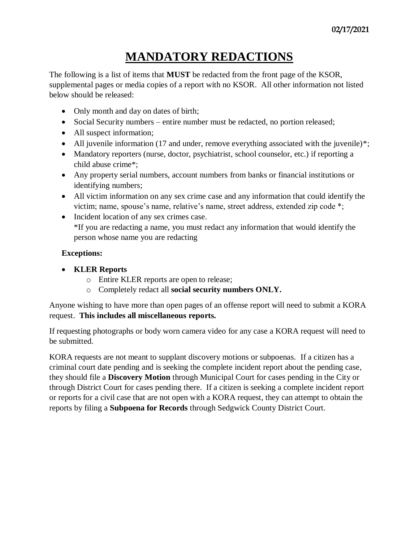## **MANDATORY REDACTIONS**

The following is a list of items that **MUST** be redacted from the front page of the KSOR, supplemental pages or media copies of a report with no KSOR. All other information not listed below should be released:

- Only month and day on dates of birth;
- Social Security numbers entire number must be redacted, no portion released;
- All suspect information;
- All juvenile information (17 and under, remove everything associated with the juvenile)\*;
- Mandatory reporters (nurse, doctor, psychiatrist, school counselor, etc.) if reporting a child abuse crime\*;
- Any property serial numbers, account numbers from banks or financial institutions or identifying numbers;
- All victim information on any sex crime case and any information that could identify the victim; name, spouse's name, relative's name, street address, extended zip code \*;
- Incident location of any sex crimes case. \*If you are redacting a name, you must redact any information that would identify the person whose name you are redacting

## **Exceptions:**

- **KLER Reports**
	- o Entire KLER reports are open to release;
	- o Completely redact all **social security numbers ONLY.**

Anyone wishing to have more than open pages of an offense report will need to submit a KORA request. **This includes all miscellaneous reports.**

If requesting photographs or body worn camera video for any case a KORA request will need to be submitted.

KORA requests are not meant to supplant discovery motions or subpoenas. If a citizen has a criminal court date pending and is seeking the complete incident report about the pending case, they should file a **Discovery Motion** through Municipal Court for cases pending in the City or through District Court for cases pending there. If a citizen is seeking a complete incident report or reports for a civil case that are not open with a KORA request, they can attempt to obtain the reports by filing a **Subpoena for Records** through Sedgwick County District Court.